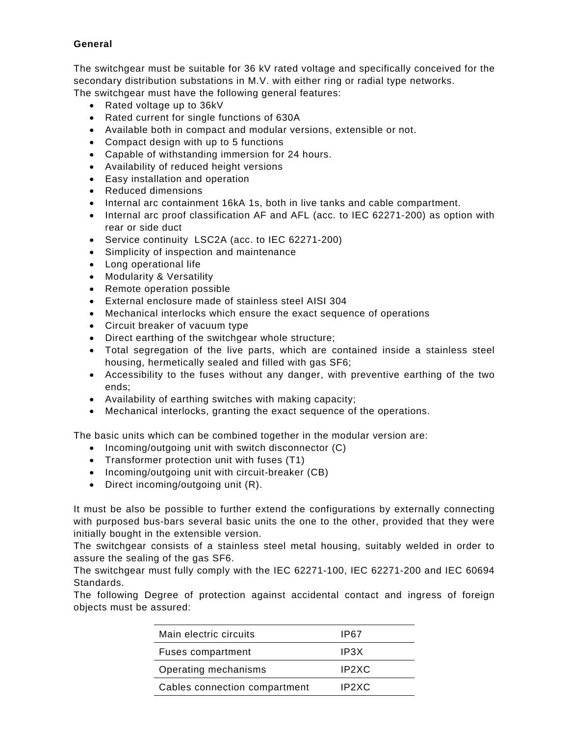# **General**

The switchgear must be suitable for 36 kV rated voltage and specifically conceived for the secondary distribution substations in M.V. with either ring or radial type networks. The switchgear must have the following general features:

- Rated voltage up to 36kV
- Rated current for single functions of 630A
- Available both in compact and modular versions, extensible or not.
- Compact design with up to 5 functions
- Capable of withstanding immersion for 24 hours.
- Availability of reduced height versions
- Easy installation and operation
- Reduced dimensions
- Internal arc containment 16kA 1s, both in live tanks and cable compartment.
- Internal arc proof classification AF and AFL (acc. to IEC 62271-200) as option with rear or side duct
- Service continuity LSC2A (acc. to IEC 62271-200)
- Simplicity of inspection and maintenance
- Long operational life
- Modularity & Versatility
- Remote operation possible
- External enclosure made of stainless steel AISI 304
- Mechanical interlocks which ensure the exact sequence of operations
- Circuit breaker of vacuum type
- Direct earthing of the switchgear whole structure;
- Total segregation of the live parts, which are contained inside a stainless steel housing, hermetically sealed and filled with gas SF6;
- Accessibility to the fuses without any danger, with preventive earthing of the two ends;
- Availability of earthing switches with making capacity;
- Mechanical interlocks, granting the exact sequence of the operations.

The basic units which can be combined together in the modular version are:

- Incoming/outgoing unit with switch disconnector (C)
- Transformer protection unit with fuses (T1)
- Incoming/outgoing unit with circuit-breaker (CB)
- Direct incoming/outgoing unit (R).

It must be also be possible to further extend the configurations by externally connecting with purposed bus-bars several basic units the one to the other, provided that they were initially bought in the extensible version.

The switchgear consists of a stainless steel metal housing, suitably welded in order to assure the sealing of the gas SF6.

The switchgear must fully comply with the IEC 62271-100, IEC 62271-200 and IEC 60694 Standards.

The following Degree of protection against accidental contact and ingress of foreign objects must be assured:

| Main electric circuits        | IP67  |
|-------------------------------|-------|
| <b>Fuses compartment</b>      | IP3X  |
| Operating mechanisms          | IP2XC |
| Cables connection compartment | IP2XC |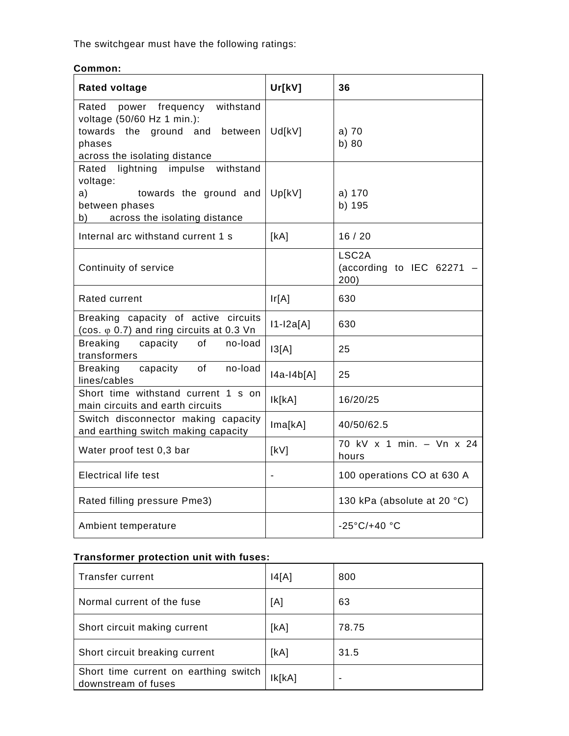The switchgear must have the following ratings:

| Common: |  |  |  |
|---------|--|--|--|
|         |  |  |  |

| <b>Rated voltage</b>                                                                                                                             | Ur[kV]        | 36                                                      |
|--------------------------------------------------------------------------------------------------------------------------------------------------|---------------|---------------------------------------------------------|
| withstand<br>Rated<br>power frequency<br>voltage (50/60 Hz 1 min.):<br>towards the ground and between<br>phases<br>across the isolating distance | Ud[kV]        | $a)$ 70<br>b) 80                                        |
| Rated lightning impulse<br>withstand<br>voltage:<br>a)<br>towards the ground and<br>between phases<br>b) across the isolating distance           | Up[kV]        | a) 170<br>b) 195                                        |
| Internal arc withstand current 1 s                                                                                                               | [kA]          | 16/20                                                   |
| Continuity of service                                                                                                                            |               | LSC <sub>2</sub> A<br>(according to IEC 62271 -<br>200) |
| <b>Rated current</b>                                                                                                                             | Ir[A]         | 630                                                     |
| Breaking capacity of active circuits<br>(cos. $\varphi$ 0.7) and ring circuits at 0.3 Vn                                                         | $11 - 12a[A]$ | 630                                                     |
| <b>Breaking</b><br>capacity of<br>no-load<br>transformers                                                                                        | 13[A]         | 25                                                      |
| <b>Breaking</b><br>capacity of<br>no-load<br>lines/cables                                                                                        | $ 4a-14b[A] $ | 25                                                      |
| Short time withstand current 1 s on<br>main circuits and earth circuits                                                                          | lk[KA]        | 16/20/25                                                |
| Switch disconnector making capacity<br>and earthing switch making capacity                                                                       | Ima[kA]       | 40/50/62.5                                              |
| Water proof test 0,3 bar                                                                                                                         | [kV]          | 70 kV x 1 min. - Vn x 24<br>hours                       |
| <b>Electrical life test</b>                                                                                                                      |               | 100 operations CO at 630 A                              |
| Rated filling pressure Pme3)                                                                                                                     |               | 130 kPa (absolute at 20 °C)                             |
| Ambient temperature                                                                                                                              |               | $-25^{\circ}$ C/+40 $^{\circ}$ C                        |

# **Transformer protection unit with fuses:**

| Transfer current                                             | 4[A]   | 800   |
|--------------------------------------------------------------|--------|-------|
| Normal current of the fuse                                   | [A]    | 63    |
| Short circuit making current                                 | [kA]   | 78.75 |
| Short circuit breaking current                               | [kA]   | 31.5  |
| Short time current on earthing switch<br>downstream of fuses | Ik[kA] | -     |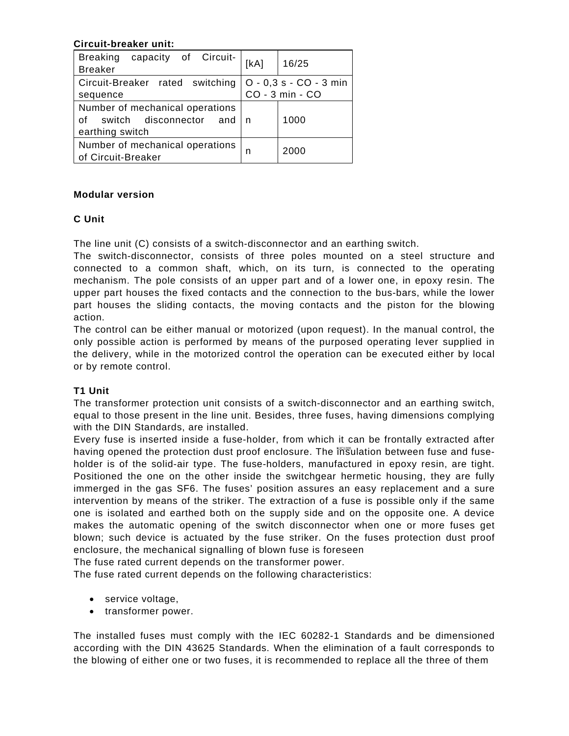### **Circuit-breaker unit:**

| <b>Breaking</b><br>capacity of Circuit-<br><b>Breaker</b>                        | [kA] | 16/25                  |
|----------------------------------------------------------------------------------|------|------------------------|
| Circuit-Breaker rated switching                                                  |      | O - 0,3 s - CO - 3 min |
| sequence                                                                         |      | CO - 3 min - CO        |
| Number of mechanical operations<br>of switch disconnector and<br>earthing switch | n    | 1000                   |
| Number of mechanical operations<br>of Circuit-Breaker                            | n    | 2000                   |

### **Modular version**

## **C Unit**

The line unit (C) consists of a switch-disconnector and an earthing switch.

The switch-disconnector, consists of three poles mounted on a steel structure and connected to a common shaft, which, on its turn, is connected to the operating mechanism. The pole consists of an upper part and of a lower one, in epoxy resin. The upper part houses the fixed contacts and the connection to the bus-bars, while the lower part houses the sliding contacts, the moving contacts and the piston for the blowing action.

The control can be either manual or motorized (upon request). In the manual control, the only possible action is performed by means of the purposed operating lever supplied in the delivery, while in the motorized control the operation can be executed either by local or by remote control.

## **T1 Unit**

The transformer protection unit consists of a switch-disconnector and an earthing switch, equal to those present in the line unit. Besides, three fuses, having dimensions complying with the DIN Standards, are installed.

Every fuse is inserted inside a fuse-holder, from which it can be frontally extracted after having opened the protection dust proof enclosure. The insulation between fuse and fuseholder is of the solid-air type. The fuse-holders, manufactured in epoxy resin, are tight. Positioned the one on the other inside the switchgear hermetic housing, they are fully immerged in the gas SF6. The fuses' position assures an easy replacement and a sure intervention by means of the striker. The extraction of a fuse is possible only if the same one is isolated and earthed both on the supply side and on the opposite one. A device makes the automatic opening of the switch disconnector when one or more fuses get blown; such device is actuated by the fuse striker. On the fuses protection dust proof enclosure, the mechanical signalling of blown fuse is foreseen

The fuse rated current depends on the transformer power.

The fuse rated current depends on the following characteristics:

- service voltage,
- transformer power.

The installed fuses must comply with the IEC 60282-1 Standards and be dimensioned according with the DIN 43625 Standards. When the elimination of a fault corresponds to the blowing of either one or two fuses, it is recommended to replace all the three of them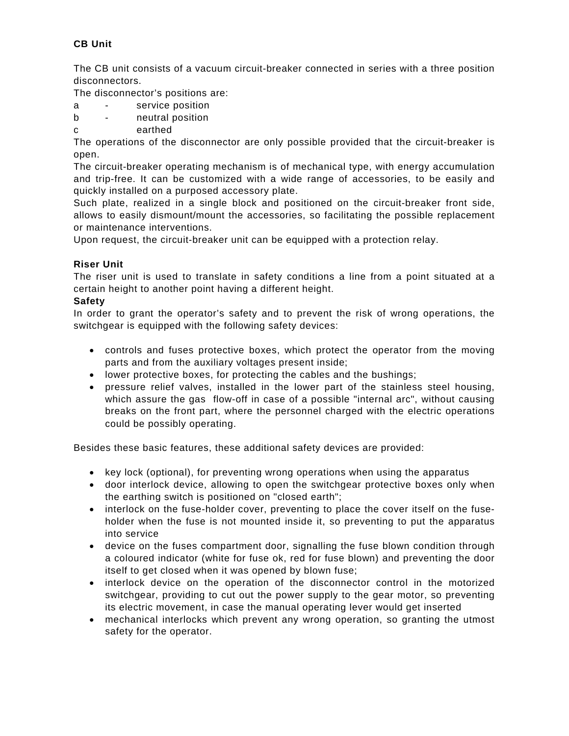# **CB Unit**

The CB unit consists of a vacuum circuit-breaker connected in series with a three position disconnectors.

The disconnector's positions are:

- a service position
- b neutral position
- c earthed

The operations of the disconnector are only possible provided that the circuit-breaker is open.

The circuit-breaker operating mechanism is of mechanical type, with energy accumulation and trip-free. It can be customized with a wide range of accessories, to be easily and quickly installed on a purposed accessory plate.

Such plate, realized in a single block and positioned on the circuit-breaker front side, allows to easily dismount/mount the accessories, so facilitating the possible replacement or maintenance interventions.

Upon request, the circuit-breaker unit can be equipped with a protection relay.

### **Riser Unit**

The riser unit is used to translate in safety conditions a line from a point situated at a certain height to another point having a different height.

### **Safety**

In order to grant the operator's safety and to prevent the risk of wrong operations, the switchgear is equipped with the following safety devices:

- controls and fuses protective boxes, which protect the operator from the moving parts and from the auxiliary voltages present inside;
- lower protective boxes, for protecting the cables and the bushings;
- pressure relief valves, installed in the lower part of the stainless steel housing, which assure the gas flow-off in case of a possible "internal arc", without causing breaks on the front part, where the personnel charged with the electric operations could be possibly operating.

Besides these basic features, these additional safety devices are provided:

- key lock (optional), for preventing wrong operations when using the apparatus
- door interlock device, allowing to open the switchgear protective boxes only when the earthing switch is positioned on "closed earth";
- interlock on the fuse-holder cover, preventing to place the cover itself on the fuseholder when the fuse is not mounted inside it, so preventing to put the apparatus into service
- device on the fuses compartment door, signalling the fuse blown condition through a coloured indicator (white for fuse ok, red for fuse blown) and preventing the door itself to get closed when it was opened by blown fuse;
- interlock device on the operation of the disconnector control in the motorized switchgear, providing to cut out the power supply to the gear motor, so preventing its electric movement, in case the manual operating lever would get inserted
- mechanical interlocks which prevent any wrong operation, so granting the utmost safety for the operator.